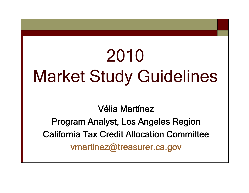## 2010 Market Study Guidelines

Vélia Martínez

California Tax Credit Allocation Committee Program Analyst, Los Angeles Region vmartinez@treasurer.ca.gov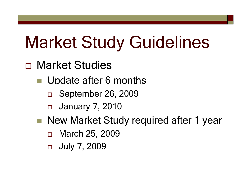## Market Study Guidelines

- Market Studies
	- **Update after 6 months** 
		- □ September 26, 2009
		- □ January 7, 2010
	- New Market Study required after 1 year
		- $\Box$  March 25, 2009
		- □ July 7, 2009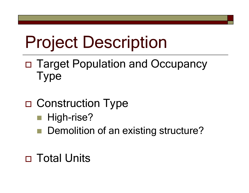## Project Description

 Target Population an dO ccupancy Type

- □ Construction Type
	- $\blacksquare$  High-rise?
	- Demolition of an existing structure?
- Total Units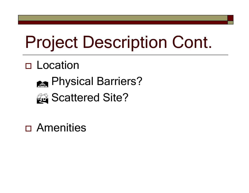## Project Description Cont.

#### □ Location



### Scattered Site?

Amenities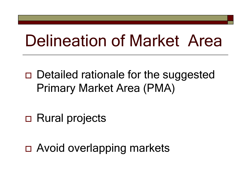## **Delineation of Market Area**

- □ Detailed rationale for the suggested **Primary Market Area (PMA)**
- □ Rural projects
- □ Avoid overlapping markets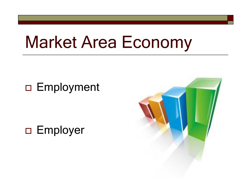## **Market Area Economy**

#### □ Employment

□ Employer

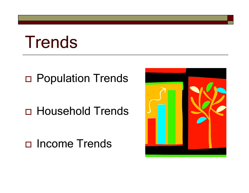## **Trends**

#### D Population Trends

#### **D** Household Trends

#### □ Income Trends

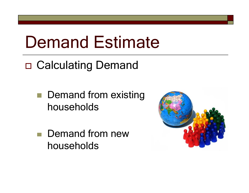## Demand Estimate

□ Calculating Demand

**Demand from existing** households

 Demand from new households

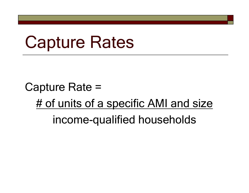## Capture Rates

Capture Rate  $=$ # of units of a specific AMI and size income-qualified households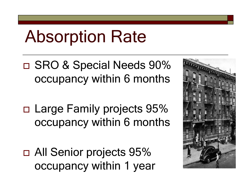## Absorption Rate

□ SRO & Special Needs 90% occu panc y within 6 months

□ Large Family projects 95% occupancy within 6 months

□ All Senior projects 95% occupancy within 1 year

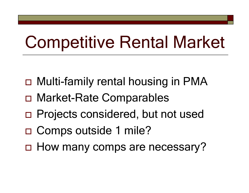## Competitive Rental Market

 $\overline{\phantom{a}}$ 

- □ Multi-family rental housing in PMA
- Market-Rate Comparables
- □ Projects considered, but not used
- □ Comps outside 1 mile?
- □ How many comps are necessary?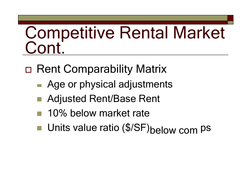# Competitive Rental Market<br>Cont

- Rent Comparability Matrix
	- Age or physical adjustments
	- Adjusted Rent/Base Rent
	- 10% below market rate
	- Units value ratio (\$/SF)below com PS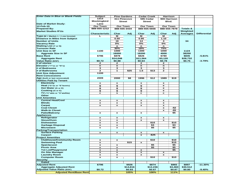| <b>Enter Data in Blue or Blank Fields</b> | <b>Subject</b>        |                           | <b>Pine Gardens</b> |                           | Cedar Creek     | Harrison       |                  |                     |                     |
|-------------------------------------------|-----------------------|---------------------------|---------------------|---------------------------|-----------------|----------------|------------------|---------------------|---------------------|
|                                           | 1313                  |                           | 311 Pinecove        |                           | 595 Cedar       | 900 Harrison   |                  |                     |                     |
|                                           | Mockingbird           |                           | <b>Street</b>       |                           | <b>Street</b>   | Blvd.          |                  |                     |                     |
| Date of Market Study:                     | Lane                  |                           |                     |                           |                 |                |                  |                     |                     |
| 12-Feb-10                                 | Our Town              |                           | <b>Our Town</b>     |                           | <b>Our Town</b> |                | <b>Our Town</b>  |                     |                     |
| <b>Prepared By:</b>                       | 888-555-1212          |                           | 888-555-3434        |                           | 888-555-5656    |                | 888-555-7878     | <b>Totals &amp;</b> |                     |
| <b>Market Studies R'Us</b>                |                       |                           |                     |                           |                 |                |                  | Weighted            |                     |
|                                           | <b>Characteristic</b> | Char                      | Adi                 | Char                      | Adj             | Char           | Adi              | <b>Averages</b>     | <b>Differential</b> |
| Type ( $M = Market$ , $L = Low Income$ )  | L                     | м                         |                     | м                         |                 | м              |                  |                     |                     |
| <b>Distance in Miles from Subject</b>     |                       | 0.50                      |                     | 0.90                      |                 | 1.10           |                  |                     |                     |
| <b>Number of Units</b>                    |                       | 16                        |                     | 14                        |                 | 4              |                  | 34                  |                     |
|                                           |                       | 0%                        |                     | 0%                        |                 | 0%             |                  |                     |                     |
| <b>Vacancy Rate</b>                       |                       |                           |                     |                           |                 |                |                  |                     |                     |
| <b>Waiting List (Y or N)</b>              |                       | n                         |                     | n                         |                 | n              |                  |                     |                     |
| <b>Turnover Rate</b>                      |                       | 30%                       |                     | 18%                       |                 | 75%            |                  |                     |                     |
| Unit Size in SF                           | 1100                  | 1000                      |                     | 1300                      |                 | 1000           |                  | 1124                |                     |
| <b>Aggreate Size in SF</b>                |                       | 16000                     |                     | 18200                     |                 | 4000           |                  | 38200               |                     |
| <b>Base Rent</b>                          | \$796                 | \$878                     |                     | \$826                     |                 | \$780          |                  | \$845               | $-5.81%$            |
| <b>Aggregate Rent</b>                     |                       | \$14,048                  |                     | \$11,564                  |                 | \$3,120        |                  | \$28,732            |                     |
| <b>Value Ratio (\$/SF)</b>                | \$0.72                | \$0.88                    |                     | \$0.64                    |                 | \$0.78         |                  | \$0.75              | $-3.79%$            |
| # of stories                              | $\mathbf{z}$          | 2                         |                     | $\mathbf{z}$              |                 | 2              |                  |                     |                     |
| Elevator ("Y"es or "N"o)                  | n                     | $\mathbf n$               |                     | n                         |                 | $\mathbf n$    |                  |                     |                     |
| # of Bedrooms                             | 3                     | 3                         |                     | 3                         |                 | 3              |                  |                     |                     |
| # of Bathrooms                            | $\mathbf{z}$          | 1                         | \$25                | 1.5                       | \$13            | $\mathbf{z}$   |                  |                     |                     |
| <b>Unit Size Adjustment</b>               | 1100                  |                           |                     |                           |                 |                |                  |                     |                     |
| <b>Rent Concessions</b>                   |                       |                           |                     |                           |                 |                |                  |                     |                     |
| Age (built or last rennovated)            | 2009                  | 2000                      | \$8                 | 1996                      | \$12            | 1989           | \$19             |                     |                     |
| <b>Utilities Paid by Tenant</b>           |                       |                           |                     |                           |                 |                |                  |                     |                     |
| Electricity                               | x                     | $\mathbf x$               |                     | $\pmb{\times}$            |                 | $\mathbf{x}$   |                  |                     |                     |
| Heat ("G"as or "E"lectric)                | g                     | g                         |                     | $\mathbf{g}$              |                 | е              |                  |                     |                     |
| Hot Water (G or E)                        | g                     | g                         |                     | g                         |                 | e              |                  |                     |                     |
| Cooking (G or E)                          | g                     | g                         |                     | g                         |                 | е              |                  |                     |                     |
| TV ("C"able or "S"atellite)               | c                     | s                         |                     | с                         |                 | c              |                  |                     |                     |
| Other                                     |                       |                           |                     |                           |                 |                |                  |                     |                     |
| <b>Unit Amenities</b>                     |                       |                           |                     |                           |                 |                |                  |                     |                     |
| <b>Central Heat/Cool</b>                  | x                     | $\boldsymbol{\mathsf{x}}$ |                     | $\pmb{\mathsf{x}}$        |                 | x              |                  |                     |                     |
| <b>Blinds</b>                             | x                     | $\mathbf x$               |                     | $\mathbf x$               |                 | x              |                  |                     |                     |
| Carpet                                    |                       |                           |                     |                           |                 |                |                  |                     |                     |
| <b>Coat Closet</b>                        | x                     | $\mathbf{x}$              |                     | $\mathbf x$               |                 | $\mathbf{x}$   | $-$2$            |                     |                     |
|                                           |                       |                           |                     |                           |                 | $\mathbf{x}$   |                  |                     |                     |
| <b>Walk-In Closet</b>                     |                       |                           |                     |                           |                 | x              | $-$ \$5          |                     |                     |
| <b>Patio/Balcony</b>                      | $\mathbf{x}$          | $\mathbf x$               |                     | $\pmb{\mathsf{x}}$        |                 |                | \$5              |                     |                     |
| <b>Appliances</b>                         |                       |                           |                     |                           |                 |                |                  |                     |                     |
| Refrigerator                              | x                     | $\mathbf x$               |                     | $\boldsymbol{\mathsf{x}}$ |                 | x              |                  |                     |                     |
| Stove/Oven                                | $\pmb{\times}$        | $\pmb{\times}$            |                     | $\pmb{\times}$            |                 | $\mathbf{x}$   |                  |                     |                     |
| <b>Dishwasher</b>                         | x                     | $\mathbf x$               |                     |                           | \$10            |                | \$10             |                     |                     |
| <b>Garbage Disposal</b>                   | $\mathbf x$           | $\pmb{\times}$            |                     |                           | \$3             |                | $\overline{\$3}$ |                     |                     |
| <b>Microwave</b>                          | $\mathbf{x}$          | $\mathbf x$               |                     |                           | \$5             |                | \$5              |                     |                     |
| <b>Parking/Transportation</b>             |                       |                           |                     |                           |                 |                |                  |                     |                     |
| <b>Surface Parking</b>                    | x                     | $\boldsymbol{\mathsf{x}}$ |                     | x                         |                 | x              |                  |                     |                     |
| Carport                                   |                       |                           |                     | $\pmb{\times}$            | $-$25$          |                |                  |                     |                     |
| <b>Project Amenities</b>                  |                       |                           |                     |                           |                 |                |                  |                     |                     |
| <b>Clubhouse/Community Room</b>           | ×                     | $\mathbf x$               |                     |                           | \$10            |                | \$10             |                     |                     |
| <b>Swimming Pool</b>                      | x                     |                           | \$15                | $\mathbf{x}$              |                 |                | \$15             |                     |                     |
| Spa/Jacuzzi                               | $\pmb{\times}$        | $\pmb{\times}$            |                     |                           | \$5             |                | \$5              |                     |                     |
| <b>Picnic Area</b>                        | $\pmb{\times}$        | $\pmb{\times}$            |                     |                           | \$5             |                | $\overline{\$5}$ |                     |                     |
| <b>Tot Lot/Playground</b>                 | x                     | $\mathbf x$               |                     | $\mathbf{x}$              |                 |                | \$5              |                     |                     |
| <b>On Site Manager</b>                    | $\pmb{\mathsf{x}}$    | $\mathbf x$               |                     | $\pmb{\times}$            |                 | $\pmb{\times}$ |                  |                     |                     |
| <b>Laundry Room</b>                       | $\pmb{\times}$        | $\pmb{\times}$            |                     | $\pmb{\mathsf{x}}$        |                 | $\pmb{\times}$ |                  |                     |                     |
| <b>Computer Room</b>                      | $\pmb{\times}$        | $\mathbf x$               |                     |                           | \$10            |                | \$10             |                     |                     |
| <b>Security</b>                           |                       |                           |                     |                           |                 |                |                  |                     |                     |
| Gated                                     |                       |                           |                     |                           |                 |                |                  |                     |                     |
| <b>Adjusted Rent</b>                      | \$796                 |                           | \$926               |                           | \$874           |                | \$865            | \$897               | $-11.30%$           |
| <b>Aggregate Adjusted Rent</b>            |                       |                           | \$14,816            |                           | \$12,236        |                | \$3,460          | \$30,512            |                     |
| <b>Adjusted Value Ratio (\$/SF)</b>       | \$0.72                |                           | \$0.93              |                           | \$0.67          |                | \$0.87           | \$0.80              | $-9.40%$            |
| <b>Adjusted Rent/Base Rent</b>            |                       |                           | 105%                |                           | 106%            |                | 111%             |                     |                     |
|                                           |                       |                           |                     |                           |                 |                |                  |                     |                     |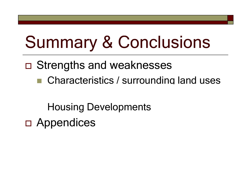## Summary & Conclusions

- Strengths and weaknesses
	- Characteristics / surrounding land uses

Housing Developments

 Appendices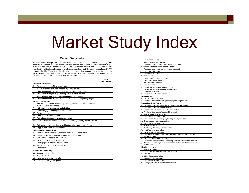## Market Study Index

#### **Market Study Index**

Market Analysts must provide a checklist referencing all components of their market study. This checklist is intended to assist readers on the location and content of issues relevant to the evaluation and analysis of market studies. The page number of each component referenced is noted in the right column. In cases where the item is not relevant, the author has indicated "N/A" or not applicable. Where a conflict with or variation from client standards or client requirements exist, the author has indicated a "V" (variation) with a comment explaining the conflict. More detailed notations or explanations are also acceptable.

|                  |                                                                                                    | Page<br>Number(s) |
|------------------|----------------------------------------------------------------------------------------------------|-------------------|
|                  | <b>Executive Summary</b>                                                                           |                   |
| 1.               | Precise statement of key conclusions                                                               |                   |
| $\overline{2}$ . | Market strengths and weaknesses impacting project                                                  |                   |
| 3.               | Recommendations and/or modification to project discussion                                          |                   |
| 4.               | Discussion of subject property's impact on existing housing                                        |                   |
| 5.               | Absorption projection with issues impacting performance                                            |                   |
| 6.               | Discussion of risks or other mitigating circumstances impacting project                            |                   |
|                  | <b>Project Description</b>                                                                         |                   |
| 7.               | Number of bedrooms and baths proposed, income limitation, proposed<br>rents and utility allowances |                   |
| 8.               | Utilities (and utility sources) included in rent                                                   |                   |
| 9.               | Occupancy type and target population description                                                   |                   |
|                  | 10. Project design description                                                                     |                   |
|                  | 11. Description of service amenities                                                               |                   |
| 12.              | Date of construction/preliminary completion                                                        |                   |
| 13.              | If rehabilitation or demolition of occupied housing, existing unit breakdown<br>and rents          |                   |
|                  | 14. Reference of status or date of architectural plans and name of architect                       |                   |
| 15.              | Copy of floor plans and elevations                                                                 |                   |
|                  | <b>Delineation of Market Area</b>                                                                  |                   |
|                  | 16. Primary Market Area and Secondary Market Area description                                      |                   |
| 17.              | Scaled for distance map of the suggested market area                                               |                   |
|                  | 18. Site amenities description and map                                                             |                   |
|                  | 19. Description of site characteristics                                                            |                   |
|                  | 20. Photographs of site and neighborhood                                                           |                   |
|                  | 21. Visibility and accessibility evaluation                                                        |                   |
| 22.              | Crime statistics                                                                                   |                   |
|                  | <b>Market Area Economy</b>                                                                         |                   |
|                  | 23. Employment by industry                                                                         |                   |
|                  | 24. Major employers                                                                                |                   |
|                  | 25. Historical unemployment rate                                                                   |                   |
|                  | 26. Five-year employment growth                                                                    |                   |

|                  | <b>Employment Trends</b>                                                                |  |
|------------------|-----------------------------------------------------------------------------------------|--|
| 1.               | Typical wages by occupation                                                             |  |
| $\overline{2}$ . | Discussion of commuting patterns of area workers                                        |  |
|                  | Population, Household and Income Trends                                                 |  |
| 3.               | Population and household estimates and projections                                      |  |
| 4.               | Households by tenure                                                                    |  |
| 5.               | Distribution of income                                                                  |  |
|                  | <b>Demand Estimate</b>                                                                  |  |
| 6.               | Evaluation of proposed rent levels                                                      |  |
| 7.               | Existing household demand                                                               |  |
| 8.               | New household demand                                                                    |  |
| 9.               | Commuter demand                                                                         |  |
|                  | 10. Calculation and analysis of Capture Rate                                            |  |
|                  | 11. Calculation and analysis of Penetration Rate                                        |  |
|                  | 12. Identification of risks                                                             |  |
|                  | 13. Conclusion of Demand analysis                                                       |  |
|                  | <b>Absorption Rate</b>                                                                  |  |
|                  | 14. Definition and Justification                                                        |  |
|                  | 15. Estimated time to reach occupancy and percentage of units                           |  |
|                  | <b>Competitive Rental Market</b>                                                        |  |
|                  | 16. Derivation of achievable market rent and Market Advantage                           |  |
|                  | 17. Derivation of achievable Restricted Rent                                            |  |
|                  | 18. List and contact information of all considered properties                           |  |
|                  | 19. Profiles and narrative of comparable properties                                     |  |
|                  | 20. Map of comparable properties                                                        |  |
|                  | 21. Comparable property photos                                                          |  |
|                  | 22. Comparison of subject property to comparable properties                             |  |
|                  | 23. Existing rental housing evaluation                                                  |  |
|                  | 24. Rent comparability matrices                                                         |  |
|                  | 25. Market Vacancy Rates                                                                |  |
|                  | 26. Availability of Housing Choice Vouchers                                             |  |
|                  | 27. Identification of waiting lists                                                     |  |
|                  | 28. Explanation of adjustments                                                          |  |
|                  | 29. Description of overall rental market including share of market-rate and             |  |
|                  | affordable properties                                                                   |  |
|                  | 30. List of existing a LIHTC properties                                                 |  |
|                  | 31. Discussion of future changes in housing stock including homeownership               |  |
| 32.              | Tax credit and other planned or under construction rental communities in<br>market area |  |
|                  | <b>Other Requirements</b>                                                               |  |
|                  | 33. Market Study Index                                                                  |  |
|                  | 34. Date of field work / preparation date of report                                     |  |
|                  | 35. Resume                                                                              |  |
|                  | 36. Utility allowance schedule                                                          |  |
|                  | 37. Floor plans and elevations                                                          |  |
|                  | 38. Demographic reports used                                                            |  |
|                  | 39. Bibliographical list of the data sources used                                       |  |